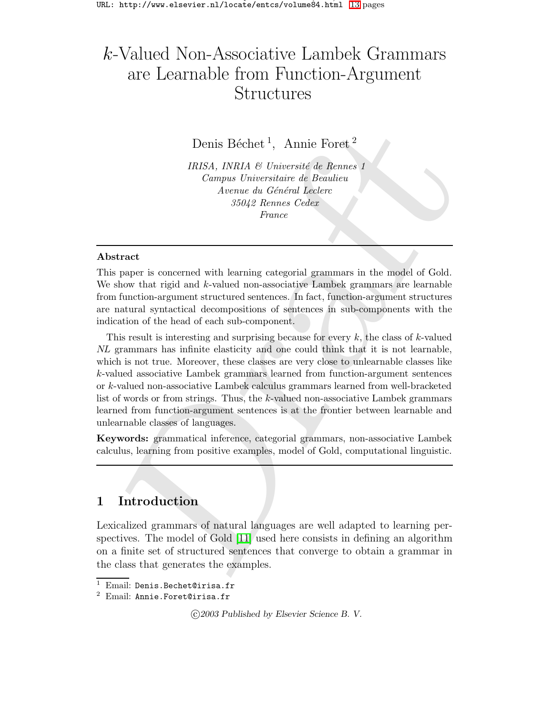# k-Valued Non-Associative Lambek Grammars are Learnable from Function-Argument Structures

Denis Béchet<sup>1</sup>, Annie Foret<sup>2</sup>

IRISA, INRIA & Université de Rennes 1 Campus Universitaire de Beaulieu Avenue du Général Leclerc 35042 Rennes Cedex France

#### Abstract

This paper is concerned with learning categorial grammars in the model of Gold. We show that rigid and  $k$ -valued non-associative Lambek grammars are learnable from function-argument structured sentences. In fact, function-argument structures are natural syntactical decompositions of sentences in sub-components with the indication of the head of each sub-component.

 $\begin{tabular}{l|c|c|c} \multicolumn{1}{l}{\textbf{Denis B\'echet}^1, \hspace{1.2cm} \textbf{Amie Foret}^2\\ \hline \textbf{IPISA}, \textbf{INRA} \textit{B} \textit{Universistic de Reunes 1}\\ \hline \textbf{Complex} \textit{Lelence} & \textbf{Gebale} \textit{Lelence} \\ \textbf{Area by Gebale} \textit{Hesures Celece} \\ \textbf{Area by Gebale} \textit{Hesures Celece} \\ \textbf{Bil2} \textit{Hesures Celece} \\ \textbf{Bil2} \textit{Hesures Celece} \\ \textbf{Bil2$  $\begin{tabular}{l|c|c|c} \multicolumn{1}{l}{\textbf{Denis B\'echet}^1, \hspace{1.2cm} \textbf{Amie Foret}^2\\ \hline \textbf{IPISA}, \textbf{INRA} \textit{B} \textit{Universistic de Reunes 1}\\ \hline \textbf{Complex} \textit{Lelence} & \textbf{Gebale} \textit{Lelence} \\ \textbf{Area by Gebale} \textit{Hesures Celece} \\ \textbf{Area by Gebale} \textit{Hesures Celece} \\ \textbf{Bil2} \textit{Hesures Celece} \\ \textbf{Bil2} \textit{Hesures Celece} \\ \textbf{Bil2$  $\begin{tabular}{l|c|c|c} \multicolumn{1}{l}{\textbf{Denis B\'echet}^1, \hspace{1.2cm} \textbf{Amie Foret}^2\\ \hline \textbf{IPISA}, \textbf{INRA} \textit{B} \textit{Universistic de Reunes 1}\\ \hline \textbf{Complex} \textit{Lelence} & \textbf{Gebale} \textit{Lelence} \\ \textbf{Area by Gebale} \textit{Hesures Celece} \\ \textbf{Area by Gebale} \textit{Hesures Celece} \\ \textbf{Bil2} \textit{Hesures Celece} \\ \textbf{Bil2} \textit{Hesures Celece} \\ \textbf{Bil2$ This result is interesting and surprising because for every  $k$ , the class of  $k$ -valued NL grammars has infinite elasticity and one could think that it is not learnable, which is not true. Moreover, these classes are very close to unlearnable classes like k-valued associative Lambek grammars learned from function-argument sentences or k-valued non-associative Lambek calculus grammars learned from well-bracketed list of words or from strings. Thus, the k-valued non-associative Lambek grammars learned from function-argument sentences is at the frontier between learnable and unlearnable classes of languages.

Keywords: grammatical inference, categorial grammars, non-associative Lambek calculus, learning from positive examples, model of Gold, computational linguistic.

# 1 Introduction

Lexicalized grammars of natural languages are well adapted to learning perspectives. The model of Gold [11] used here consists in defining an algorithm on a finite set of structured sentences that converge to obtain a grammar in the class that generates the examples.

c 2003 Published by Elsevier Science B. V.

<sup>&</sup>lt;sup>1</sup> Email: Denis.Bechet@irisa.fr

<sup>2</sup> Email: Annie.Foret@irisa.fr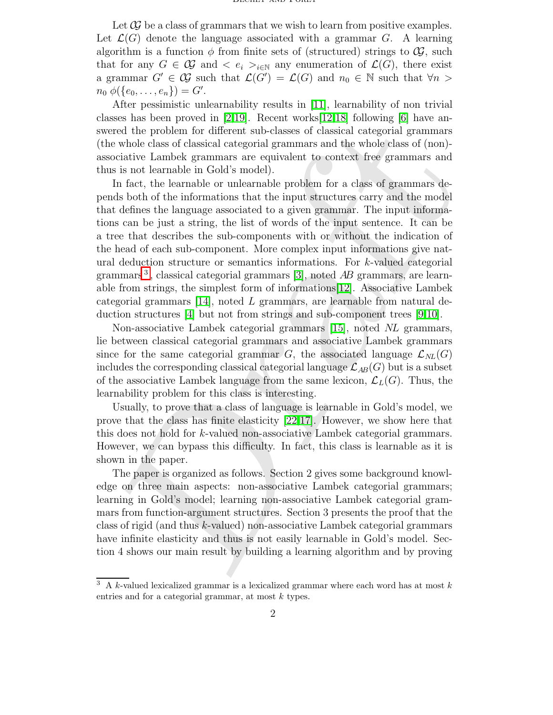Let  $\mathcal{G}$  be a class of grammars that we wish to learn from positive examples. Let  $\mathcal{L}(G)$  denote the language associated with a grammar G. A learning algorithm is a function  $\phi$  from finite sets of (structured) strings to  $\mathcal{G}$ , such that for any  $G \in \mathcal{G}$  and  $\langle e_i \rangle_{i \in \mathbb{N}}$  any enumeration of  $\mathcal{L}(G)$ , there exist a grammar  $G' \in \mathcal{G}$  such that  $\mathcal{L}(G') = \mathcal{L}(G)$  and  $n_0 \in \mathbb{N}$  such that  $\forall n >$  $n_0 \phi(\{e_0, \ldots, e_n\}) = G'.$ 

After pessimistic unlearnability results in [\[11\]](#page-12-0), learnability of non trivial classes has been proved in [\[2](#page-11-0)[,19\]](#page-12-1). Recent works [\[12](#page-12-2)[,18\]](#page-12-3) following [\[6\]](#page-11-1) have answered the problem for different sub-classes of classical categorial grammars (the whole class of classical categorial grammars and the whole class of (non) associative Lambek grammars are equivalent to context free grammars and thus is not learnable in Gold's model).

red the problem for different sub-classes of classical categorial grammars<br>red the problem for different sub-classes of classical categorial grammars<br>as whole class of dassical categorial grammars and the whole class of s In fact, the learnable or unlearnable problem for a class of grammars depends both of the informations that the input structures carry and the model that defines the language associated to a given grammar. The input informations can be just a string, the list of words of the input sentence. It can be a tree that describes the sub-components with or without the indication of the head of each sub-component. More complex input informations give natural deduction structure or semantics informations. For k-valued categorial grammars<sup>3</sup>, classical categorial grammars [3], noted  $AB$  grammars, are learnable from strings, the simplest form of informations[12]. Associative Lambek categorial grammars  $[14]$ , noted L grammars, are learnable from natural deduction structures [4] but not from strings and sub-component trees [9,10].

Non-associative Lambek categorial grammars [15], noted NL grammars, lie between classical categorial grammars and associative Lambek grammars since for the same categorial grammar G, the associated language  $\mathcal{L}_{NL}(G)$ includes the corresponding classical categorial language  $\mathcal{L}_{AB}(G)$  but is a subset of the associative Lambek language from the same lexicon,  $\mathcal{L}_L(G)$ . Thus, the learnability problem for this class is interesting.

Usually, to prove that a class of language is learnable in Gold's model, we prove that the class has finite elasticity [22,17]. However, we show here that this does not hold for k-valued non-associative Lambek categorial grammars. However, we can bypass this difficulty. In fact, this class is learnable as it is shown in the paper.

The paper is organized as follows. Section 2 gives some background knowledge on three main aspects: non-associative Lambek categorial grammars; learning in Gold's model; learning non-associative Lambek categorial grammars from function-argument structures. Section 3 presents the proof that the class of rigid (and thus k-valued) non-associative Lambek categorial grammars have infinite elasticity and thus is not easily learnable in Gold's model. Section 4 shows our main result by building a learning algorithm and by proving

<span id="page-1-0"></span> $3\,$  A k-valued lexicalized grammar is a lexicalized grammar where each word has at most k entries and for a categorial grammar, at most k types.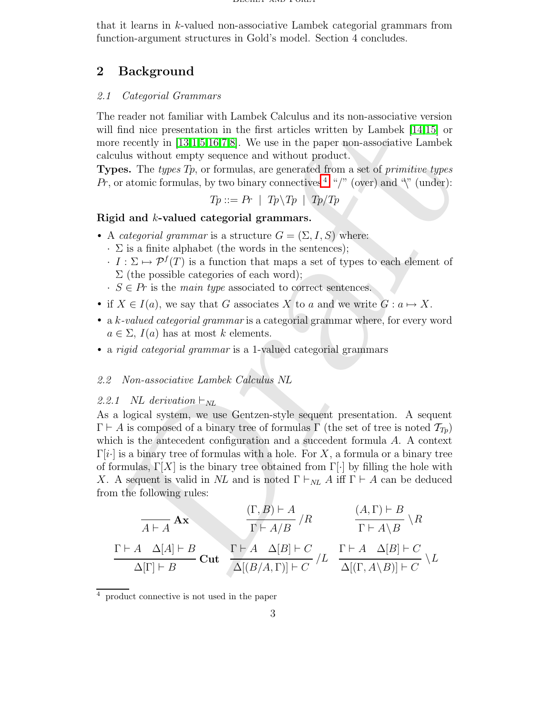that it learns in k-valued non-associative Lambek categorial grammars from function-argument structures in Gold's model. Section 4 concludes.

# 2 Background

#### 2.1 Categorial Grammars

The reader not familiar with Lambek Calculus and its non-associative version will find nice presentation in the first articles written by Lambek [14,15] or more recently in  $[13,1,5,16,7,8]$ . We use in the paper non-associative Lambek calculus without empty sequence and without product.

**Types.** The types  $T_p$ , or formulas, are generated from a set of *primitive types*  $Pr$ , or atomic formulas, by two binary connectives  $4 \sqrt{\ }$  (over) and  $\sqrt[4]{\ }$  (under):

$$
Tp ::= Pr \mid Tp \backslash Tp \mid Tp/Tp
$$

# Rigid and k-valued categorial grammars.

- A *categorial grammar* is a structure  $G = (\Sigma, I, S)$  where:
	- $\cdot$   $\Sigma$  is a finite alphabet (the words in the sentences);
	- $\cdot$   $I : \Sigma \mapsto \mathcal{P}^f(T)$  is a function that maps a set of types to each element of  $\Sigma$  (the possible categories of each word);
	- $\cdot S \in Pr$  is the main type associated to correct sentences.
- if  $X \in I(a)$ , we say that G associates X to a and we write  $G : a \mapsto X$ .
- a k-valued categorial grammar is a categorial grammar where, for every word  $a \in \Sigma$ ,  $I(a)$  has at most k elements.
- a *rigid categorial grammar* is a 1-valued categorial grammars

#### 2.2 Non-associative Lambek Calculus NL

#### 2.2.1 NL derivation  $\vdash_{NL}$

[f](#page-2-0)ind nice presen[t](#page-12-4)ation in the first articles written by Lambek [14,15] or erecent<br>with [13,15],5,16, No use in the paper non-associative Lambek endows without camply sequence and without product.<br>See, The *types Tp*, or f As a logical system, we use Gentzen-style sequent presentation. A sequent  $\Gamma \vdash A$  is composed of a binary tree of formulas  $\Gamma$  (the set of tree is noted  $\mathcal{T}_{T_p}$ ) which is the antecedent configuration and a succedent formula A. A context  $\Gamma[i\cdot]$  is a binary tree of formulas with a hole. For X, a formula or a binary tree of formulas,  $\Gamma[X]$  is the binary tree obtained from  $\Gamma[\cdot]$  by filling the hole with X. A sequent is valid in NL and is noted  $\Gamma \vdash_{NL} A$  iff  $\Gamma \vdash A$  can be deduced from the following rules:

$$
\frac{\Gamma \vdash A \quad \Delta[A] \vdash B}{\Gamma \vdash A/B} / R \qquad \frac{(A, \Gamma) \vdash B}{\Gamma \vdash A \setminus B} \setminus R
$$
\n
$$
\frac{\Gamma \vdash A \quad \Delta[A] \vdash B}{\Delta[\Gamma] \vdash B} \text{Cut} \quad \frac{\Gamma \vdash A \quad \Delta[B] \vdash C}{\Delta[(B/A, \Gamma)] \vdash C} / L \quad \frac{\Gamma \vdash A \quad \Delta[B] \vdash C}{\Delta[(\Gamma, A \setminus B)] \vdash C} \setminus L
$$

<span id="page-2-0"></span><sup>4</sup> product connective is not used in the paper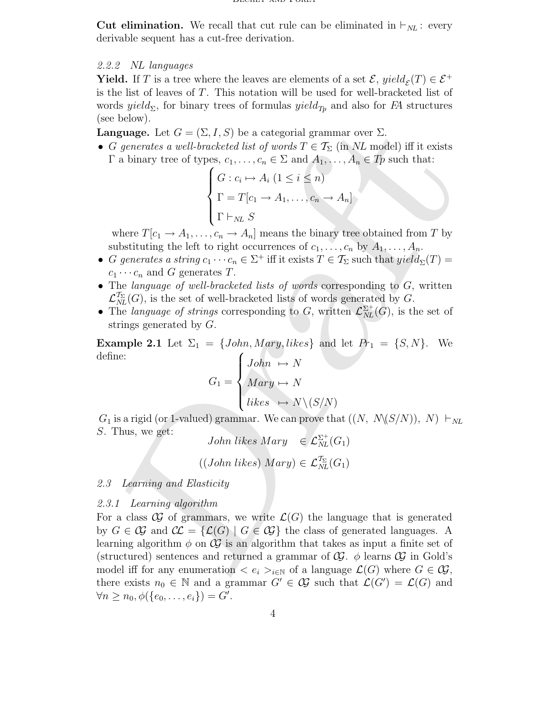**Cut elimination.** We recall that cut rule can be eliminated in  $\vdash_{NL}$ : every derivable sequent has a cut-free derivation.

#### 2.2.2 NL languages

**Yield.** If T is a tree where the leaves are elements of a set  $\mathcal{E}$ ,  $yield_{\mathcal{E}}(T) \in \mathcal{E}^+$ is the list of leaves of T. This notation will be used for well-bracketed list of words yield<sub> $\Sigma$ </sub>, for binary trees of formulas yield<sub>Tp</sub> and also for FA structures (see below).

**Language.** Let  $G = (\Sigma, I, S)$  be a categorial grammar over  $\Sigma$ .

• G generates a well-bracketed list of words  $T \in \mathcal{T}_{\Sigma}$  (in NL model) iff it exists  $\Gamma$  a binary tree of types,  $c_1, \ldots, c_n \in \Sigma$  and  $A_1, \ldots, A_n \in T_p$  such that:

$$
\begin{cases}\nG: c_i \mapsto A_i \ (1 \leq i \leq n) \\
\Gamma = T[c_1 \to A_1, \dots, c_n \to A_n] \\
\Gamma \vdash_{NL} S\n\end{cases}
$$

where  $T[c_1 \rightarrow A_1, \ldots, c_n \rightarrow A_n]$  means the binary tree obtained from T by substituting the left to right occurrences of  $c_1, \ldots, c_n$  by  $A_1, \ldots, A_n$ .

- G generates a string  $c_1 \cdots c_n \in \Sigma^+$  iff it exists  $T \in \mathcal{T}_{\Sigma}$  such that  $yield_{\Sigma}(T) =$  $c_1 \cdots c_n$  and G generates T.
- The language of well-bracketed lists of words corresponding to  $G$ , written  $\mathcal{L}^{\mathcal{T}_{\Sigma}}_{N l}$  $\frac{d_{\Sigma}}{d_{NL}}(G)$ , is the set of well-bracketed lists of words generated by G.
- The language of strings corresponding to G, written  $\mathcal{L}_{NL}^{\Sigma^{+}}(G)$ , is the set of strings generated by G.

Example 2.1 Let  $\Sigma_1 = \{John, Mary, likes\}$  and let  $Pr_1 = \{S, N\}$ . We define:  $\sqrt{ }$ 

$$
G_1 = \begin{cases} John \rightarrow N \\ Mary \rightarrow N \\ likes \rightarrow N \setminus (S/N) \end{cases}
$$

 $G_1$  is a rigid (or 1-valued) grammar. We can prove that  $((N, N\langle S/N\rangle), N) \vdash_{NL}$ S. Thus, we get:

John likes Mary 
$$
\in \mathcal{L}_{NL}^{\Sigma^+}(G_1)
$$

$$
((John\,\,likes)\,\,Mary) \in \mathcal{L}_{NL}^{\mathcal{T}_{\Sigma}}(G_1)
$$

### 2.3 Learning and Elasticity

#### 2.3.1 Learning algorithm

 $\label{eq:2.1} \begin{array}{ll} \text{square} & \text{Let } G = (\Sigma, I, S) \text{ be a categorical grammar over } \Sigma, \\ \text{$g$ generates $a$ well-bracket, of words $d$ is given} & \text{$g$ is the number of type, $c_1, \ldots, c_n \in \Sigma$ and $A_1, \ldots, A_n \in Ip$ such that: } \\ \text{$a$ binary tree of types, $c_1, \ldots, c_n \in \Sigma$ and $A_1, \ldots, A_n \in Ip$ such that: } \\ \begin{cases} G: c_i \mapsto A_i \ (1 \leq i \leq n) \\ \Gamma = T[c_1 \rightarrow A_1, \ldots, c_n \rightarrow A_n]$ For a class  $\mathcal{G}$  of grammars, we write  $\mathcal{L}(G)$  the language that is generated by  $G \in \mathcal{G}$  and  $\mathcal{CL} = \{ \mathcal{L}(G) \mid G \in \mathcal{G} \}$  the class of generated languages. A learning algorithm  $\phi$  on  $\mathcal{G}$  is an algorithm that takes as input a finite set of (structured) sentences and returned a grammar of  $\mathcal{G}$ .  $\phi$  learns  $\mathcal{G}$  in Gold's model iff for any enumeration  $\langle e_i \rangle_{i \in \mathbb{N}}$  of a language  $\mathcal{L}(G)$  where  $G \in \mathcal{G},$ there exists  $n_0 \in \mathbb{N}$  and a grammar  $G' \in \mathcal{G}$  such that  $\mathcal{L}(G') = \mathcal{L}(G)$  and  $\forall n \geq n_0, \phi(\{e_0, \ldots, e_i\}) = G'.$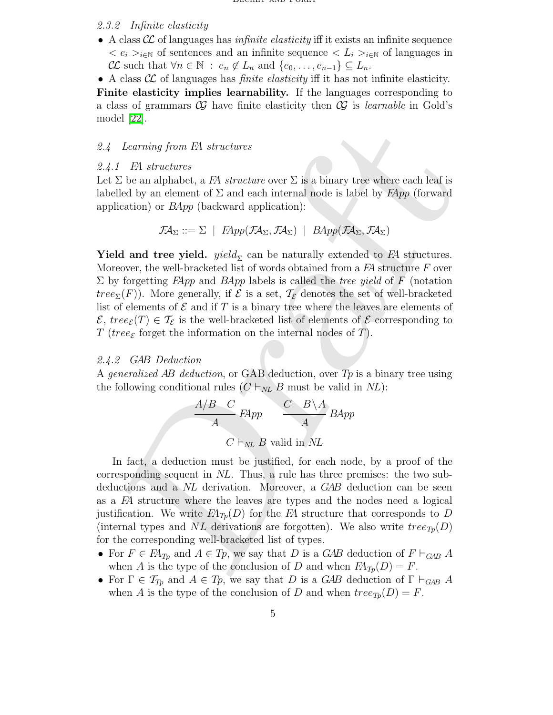#### 2.3.2 Infinite elasticity

- A class  $\mathcal{CL}$  of languages has *infinite elasticity* iff it exists an infinite sequence  $\langle e_i \rangle_{i \in \mathbb{N}}$  of sentences and an infinite sequence  $\langle L_i \rangle_{i \in \mathbb{N}}$  of languages in  $\mathcal{CL}$  such that  $\forall n \in \mathbb{N} : e_n \notin L_n$  and  $\{e_0, \ldots, e_{n-1}\} \subseteq L_n$ .
- A class  $\mathcal{CL}$  of languages has *finite elasticity* iff it has not infinite elasticity.

Finite elasticity implies learnability. If the languages corresponding to a class of grammars  $\mathcal C$  have finite elasticity then  $\mathcal C$  is learnable in Gold's model [\[22\]](#page-12-7).

#### 2.4 Learning from FA structures

#### 2.4.1 FA structures

Let  $\Sigma$  be an alphabet, a FA structure over  $\Sigma$  is a binary tree where each leaf is labelled by an element of  $\Sigma$  and each internal node is label by  $FApp$  (forward application) or  $BApp$  (backward application):

$$
\mathcal{F} \mathcal{A}_{\Sigma} ::= \Sigma \mid \text{FApp}(\mathcal{F} \mathcal{A}_{\Sigma}, \mathcal{F} \mathcal{A}_{\Sigma}) \mid \text{BApp}(\mathcal{F} \mathcal{A}_{\Sigma}, \mathcal{F} \mathcal{A}_{\Sigma})
$$

*Leminary* from *FA* structures<br> *L* FA structures<br> *L* FA structures<br>  $D$  E au alphabel, a FA structure over  $\Sigma$  is a binary tree where each leaf is<br>
illed by an element of  $\Sigma$  and each internal node is label by Flpp ( **Yield and tree yield.** yield<sub> $\Sigma$ </sub> can be naturally extended to FA structures. Moreover, the well-bracketed list of words obtained from a  $FA$  structure  $F$  over  $\Sigma$  by forgetting  $FApp$  and  $BApp$  labels is called the tree yield of F (notation tree<sub> $\Sigma(F)$ </sub>. More generally, if  $\mathcal E$  is a set,  $\mathcal T_{\mathcal E}$  denotes the set of well-bracketed list of elements of  $\mathcal E$  and if  $T$  is a binary tree where the leaves are elements of  $\mathcal{E}, \text{tree}_{\mathcal{E}}(T) \in \mathcal{T}_{\mathcal{E}}$  is the well-bracketed list of elements of  $\mathcal{E}$  corresponding to T (tree<sub> $\epsilon$ </sub> forget the information on the internal nodes of T).

#### 2.4.2 GAB Deduction

A generalized AB deduction, or GAB deduction, over  $Tp$  is a binary tree using the following conditional rules  $(C \vdash_{NL} B$  must be valid in NL):

$$
\frac{A/B \quad C}{A} \quad FApp \qquad \frac{C \quad B \setminus A}{A} \quad BApp
$$

$$
C \vdash_{NL} B \text{ valid in } NL
$$

In fact, a deduction must be justified, for each node, by a proof of the corresponding sequent in NL. Thus, a rule has three premises: the two subdeductions and a NL derivation. Moreover, a GAB deduction can be seen as a FA structure where the leaves are types and the nodes need a logical justification. We write  $FA_{T_p}(D)$  for the FA structure that corresponds to D (internal types and NL derivations are forgotten). We also write  $tree_{T_p}(D)$ for the corresponding well-bracketed list of types.

- For  $F \in F\mathcal{A}_{T_p}$  and  $A \in T_p$ , we say that D is a GAB deduction of  $F \vdash_{GAB} A$ when A is the type of the conclusion of D and when  $FA_{T_p}(D) = F$ .
- For  $\Gamma \in \mathcal{T}_{T_p}$  and  $A \in T_p$ , we say that D is a GAB deduction of  $\Gamma \vdash_{GAB} A$ when A is the type of the conclusion of D and when  $tree_{Tp}(D) = F$ .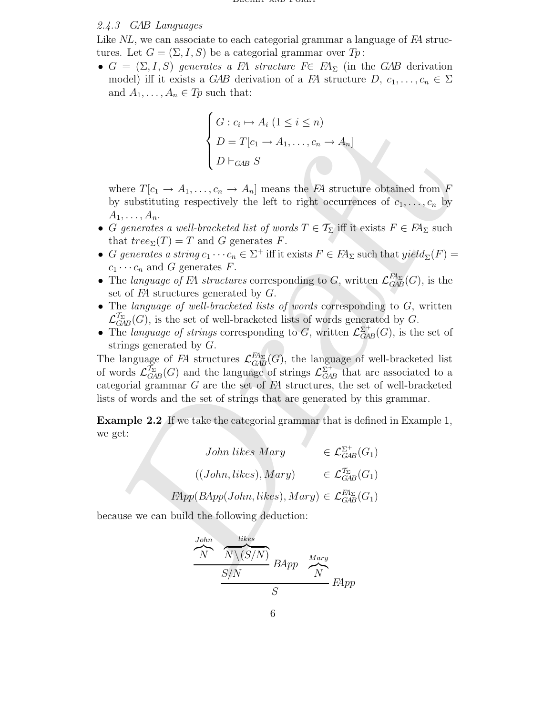#### 2.4.3 GAB Languages

Like NL, we can associate to each categorial grammar a language of FA structures. Let  $G = (\Sigma, I, S)$  be a categorial grammar over  $Tp$ :

•  $G = (\Sigma, I, S)$  generates a FA structure  $F \in F A_{\Sigma}$  (in the GAB derivation model) iff it exists a GAB derivation of a FA structure  $D, c_1, \ldots, c_n \in \Sigma$ and  $A_1, \ldots, A_n \in T_p$  such that:

$$
\begin{cases}\nG: c_i \mapsto A_i \ (1 \leq i \leq n) \\
D = T[c_1 \to A_1, \dots, c_n \to A_n] \\
D \vdash_{GAB} S\n\end{cases}
$$

where  $T[c_1 \rightarrow A_1, \ldots, c_n \rightarrow A_n]$  means the FA structure obtained from F by substituting respectively the left to right occurrences of  $c_1, \ldots, c_n$  by  $A_1, \ldots, A_n$ .

- G generates a well-bracketed list of words  $T \in \mathcal{T}_{\Sigma}$  iff it exists  $F \in F\!A_{\Sigma}$  such that  $tree_{\Sigma}(T) = T$  and G generates F.
- G generates a string  $c_1 \cdots c_n \in \Sigma^+$  iff it exists  $F \in F\mathcal{A}_{\Sigma}$  such that  $yield_{\Sigma}(F) =$  $c_1 \cdots c_n$  and G generates F.
- The language of FA structures corresponding to G, written  $\mathcal{L}_{GAE}^{F\!A_{\Sigma}}$  $H_{\Sigma}^{H_{\Sigma}}(G)$ , is the set of  $FA$  structures generated by  $G$ .
- The language of well-bracketed lists of words corresponding to  $G$ , written  $\mathcal{L}_{G\!A}^{\mathcal{T}_\Sigma}$  $\frac{dE}{GAB}(G)$ , is the set of well-bracketed lists of words generated by G.
- The language of strings corresponding to G, written  $\mathcal{L}_{GAB}^{\Sigma^+}(G)$ , is the set of strings generated by G.

Draft The language of FA structures  $\mathcal{L}_{GAE}^{F\!A_{\Sigma}}$  $G_{\mathcal{A}B}(G)$ , the language of well-bracketed list of words  $\mathcal{L}^{\mathcal{T}_{\Sigma}}_{G\!A}$  $\frac{\tilde{T}_{\Sigma}}{GAB}(G)$  and the language of strings  $\mathcal{L}_{GAB}^{\Sigma^+}$  that are associated to a categorial grammar  $G$  are the set of  $FA$  structures, the set of well-bracketed lists of words and the set of strings that are generated by this grammar.

Example 2.2 If we take the categorial grammar that is defined in Example 1, we get:

> John likes Mary  $\in \mathcal{L}_{GAB}^{\Sigma^+}(G_1)$  $((John, likes), Mary) \in \mathcal{L}_{GA}^{\mathcal{T}_{\Sigma}}$  $T_{G\!A\!B}^{T_{\Sigma}}(G_{1})$  $FApp(BApp(John, likes), Mary) \in \mathcal{L}_{GAE}^{FA_{\Sigma}}$  $\frac{F A_{\Sigma}}{G A B}(G_1)$

because we can build the following deduction:

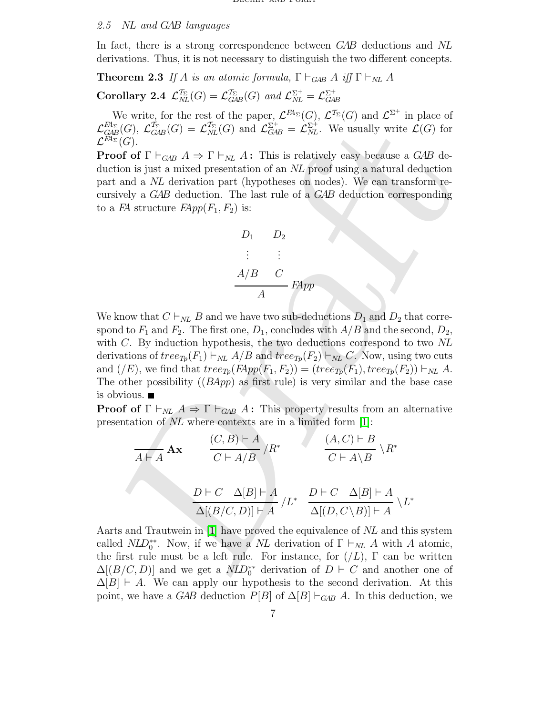#### 2.5 NL and GAB languages

In fact, there is a strong correspondence between GAB deductions and NL derivations. Thus, it is not necessary to distinguish the two different concepts.

**Theorem 2.3** If A is an atomic formula,  $\Gamma \vdash_{GAB} A$  iff  $\Gamma \vdash_{NL} A$ 

Corollary 2.4  $\mathcal{L}_{NI}^{\mathcal{T}_{\Sigma}}$  $\int_{NL}^{T_{\Sigma}}(G) = \mathcal{L}_{GA}^{T_{\Sigma}}$  $\frac{\tau_{\Sigma}}{GAB}(G)$  and  $\mathcal{L}_{NL}^{\Sigma^{+}} = \mathcal{L}_{GAB}^{\Sigma^{+}}$ 

We write, for the rest of the paper,  $\mathcal{L}^{FA_{\Sigma}}(G)$ ,  $\mathcal{L}^{\mathcal{T}_{\Sigma}}(G)$  and  $\mathcal{L}^{\Sigma^{+}}$  in place of  $\mathcal{L}^{F\!A_\Sigma}_{G\!A\!F}$  $\begin{array}{c} F\!A_\Sigma\ E\!A\!B}(G), \ {\cal L}^{\mathcal{T}_\Sigma}_{G\!A} \end{array}$  $\frac{\mathcal{T}_{\Sigma}}{GAB}(G) = \mathcal{L}^{\mathcal{T}_{\Sigma}}_{NL}$  $\mathcal{I}_{NL}^{\Sigma}(G)$  and  $\mathcal{L}_{GAB}^{\Sigma^{+}} = \mathcal{L}_{NL}^{\Sigma^{+}}$ . We usually write  $\mathcal{L}(G)$  for  ${\cal L}^{F\!A_\Sigma}(G).$ 

**Proof of**  $\Gamma \vdash_{GAB} A \Rightarrow \Gamma \vdash_{NL} A$ : This is relatively easy because a GAB deduction is just a mixed presentation of an NL proof using a natural deduction part and a NL derivation part (hypotheses on nodes). We can transform recursively a GAB deduction. The last rule of a GAB deduction corresponding to a FA structure  $FApp(F_1, F_2)$  is:

$$
D_1 \t D_2
$$
  
\n
$$
\vdots \t \vdots
$$
  
\n
$$
A/B \t C
$$
  
\n
$$
A
$$
  
\n
$$
FApp
$$

 $\tilde{\gamma}_0(G)$ ,  $\mathcal{L}_{(SM)}^{\infty}(G) = \mathcal{L}_{SM}^{\infty}(G)$  and  $\mathcal{L}_{\text{CAE}}^{\infty} = \mathcal{L}_{NL}^{\infty}$ . We usually write  $\mathcal{L}(G)$  for<br>  $\epsilon(G)$ .<br>  $\epsilon(G)$  for  $\Gamma \vdash_{GW} A \Rightarrow \Gamma \vdash_{NL} A$ : This is relatively easy because a *GAB* decise of of  $\Gamma \$ We know that  $C \vdash_{NL} B$  and we have two sub-deductions  $D_1$  and  $D_2$  that correspond to  $F_1$  and  $F_2$ . The first one,  $D_1$ , concludes with  $A/B$  and the second,  $D_2$ , with C. By induction hypothesis, the two deductions correspond to two NL derivations of  $tree_{Tp}(F_1) \vdash_{NL} A/B$  and  $tree_{Tp}(F_2) \vdash_{NL} C$ . Now, using two cuts and  $(\overline{/E})$ , we find that  $tree_{Tp}(F\rightarrow P_1, F_2) = (tree_{Tp}(F_1), tree_{Tp}(F_2)) \vdash_{NL} A$ . The other possibility  $((BApp)$  as first rule) is very similar and the base case is obvious.

**Proof of**  $\Gamma \vdash_{NL} A \Rightarrow \Gamma \vdash_{GAB} A$ : This property results from an alternative presentation of NL where contexts are in a limited form [1]:

$$
\frac{(C, B) \vdash A}{A \vdash A} \mathbf{A} \mathbf{x} \qquad \frac{(C, B) \vdash A}{C \vdash A/B} / R^* \qquad \frac{(A, C) \vdash B}{C \vdash A \setminus B} \setminus R^*
$$
\n
$$
\frac{D \vdash C \quad \Delta[B] \vdash A}{\Delta[(B/C, D)] \vdash A} / L^* \quad \frac{D \vdash C \quad \Delta[B] \vdash A}{\Delta[(D, C \setminus B)] \vdash A} \setminus L^*
$$

Aarts and Trautwein in [1] have proved the equivalence of NL and this system called  $NLD_0^{**}$ . Now, if we have a NL derivation of  $\Gamma \vdash_{NL} A$  with A atomic, the first rule must be a left rule. For instance, for  $(2)$ ,  $\Gamma$  can be written  $\Delta[(B/C, D)]$  and we get a  $NLD_0^{**}$  derivation of  $D \vdash C$  and another one of  $\Delta[B] \vdash A$ . We can apply our hypothesis to the second derivation. At this point, we have a GAB deduction  $P[B]$  of  $\Delta[B] \vdash_{GAB} A$ . In this deduction, we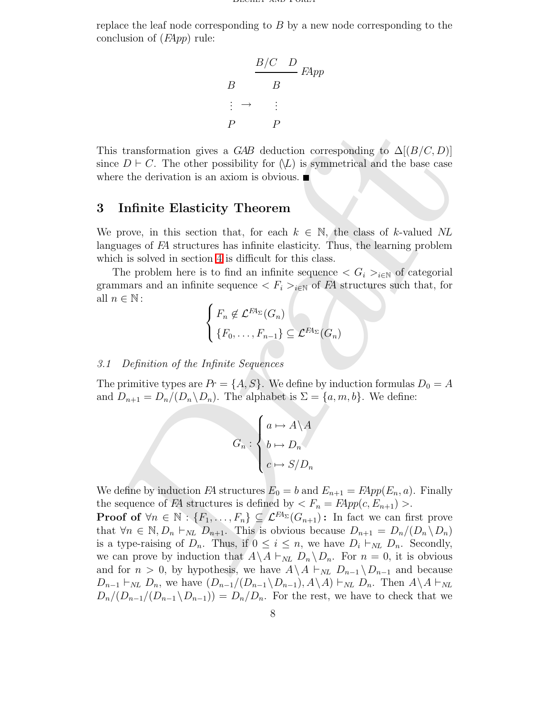replace the leaf node corresponding to B by a new node corresponding to the conclusion of  $(FApp)$  rule:

$$
B \xrightarrow{B/C} B
$$
  

$$
B \xrightarrow{\cdot} B
$$
  

$$
\vdots \rightarrow \vdots
$$
  

$$
P \xrightarrow{P}
$$

This transformation gives a GAB deduction corresponding to  $\Delta[(B/C, D)]$ since  $D \vdash C$ . The other possibility for  $(\nL)$  is symmetrical and the base case where the derivation is an axiom is obvious.

### 3 Infinite Elasticity Theorem

We prove, in this section that, for each  $k \in \mathbb{N}$ , the class of k-valued NL languages of FA structures has infinite elasticity. Thus, the learning problem which is solved in section 4 is difficult for this class.

The problem here is to find an infinite sequence  $\langle G_i \rangle_{i \in \mathbb{N}}$  of categorial grammars and an infinite sequence  $\langle F_i \rangle_{i \in \mathbb{N}}$  of  $F\!A$  structures such that, for all  $n \in \mathbb{N}$ :

$$
\begin{cases}\nF_n \notin \mathcal{L}^{FA_{\Sigma}}(G_n) \\
\{F_0, \ldots, F_{n-1}\} \subseteq \mathcal{L}^{FA_{\Sigma}}(G_n)\n\end{cases}
$$

#### 3.1 Definition of the Infinite Sequences

The primitive types are  $Pr = \{A, S\}$ . We define by induction formulas  $D_0 = A$ and  $D_{n+1} = D_n/(D_n \backslash D_n)$ . The alphabet is  $\Sigma = \{a, m, b\}$ . We define:

$$
G_n : \begin{cases} a \mapsto A \backslash A \\ b \mapsto D_n \\ c \mapsto S/D_n \end{cases}
$$

We define by induction FA structures  $E_0 = b$  and  $E_{n+1} = F\!A}pp(E_n, a)$ . Finally the sequence of FA structures is defined by  $\langle F_n = \mathbb{R}Pp(c, E_{n+1}) \rangle$ .

B is transformation gives a *GAB* deduction corresponding to  $\Delta[(B/C, D)]$ <br>  $e D \vdash C$ . The other possibility for  $f(x)$  is symmetrical and the base case<br>
if the derivation is an axiom is obvious.  $\blacksquare$ <br> **Infinite Elasticity T Proof of**  $\forall n \in \mathbb{N}: \{F_1, \ldots, F_n\} \subseteq \mathcal{L}^{\mathbb{F}A_{\Sigma}}(G_{n+1})$ : In fact we can first prove that  $\forall n \in \mathbb{N}, D_n \vdash_{NL} D_{n+1}$ . This is obvious because  $D_{n+1} = D_n/(D_n \backslash D_n)$ is a type-raising of  $D_n$ . Thus, if  $0 \leq i \leq n$ , we have  $D_i \vdash_{NL} D_n$ . Secondly, we can prove by induction that  $A \setminus A \vdash_{NL} D_n \setminus D_n$ . For  $n = 0$ , it is obvious and for  $n > 0$ , by hypothesis, we have  $A \ A \vdash_{NL} D_{n-1} \ D_{n-1}$  and because  $D_{n-1} \vdash_{NL} D_n$ , we have  $(D_{n-1}/(D_{n-1} \setminus D_{n-1}), A \setminus A) \vdash_{NL} D_n$ . Then  $A \setminus A \vdash_{NL} D_n$  $D_n/(D_{n-1}/(D_{n-1}\backslash D_{n-1})) = D_n/D_n$ . For the rest, we have to check that we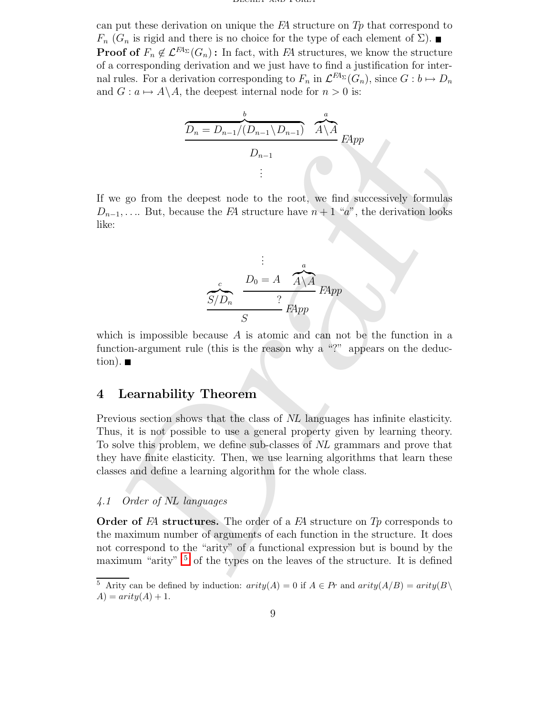can put these derivation on unique the  $FA$  structure on  $Tp$  that correspond to  $F_n$  ( $G_n$  is rigid and there is no choice for the type of each element of  $\Sigma$ ). **Proof of**  $F_n \notin \mathcal{L}^{H_{\Sigma}}(G_n)$ : In fact, with FA structures, we know the structure of a corresponding derivation and we just have to find a justification for internal rules. For a derivation corresponding to  $F_n$  in  $\mathcal{L}^{F\!A}(\mathcal{C}_n)$ , since  $G: b \mapsto D_n$ and  $G: a \mapsto A\backslash A$ , the deepest internal node for  $n > 0$  is:

$$
\underbrace{\overbrace{D_n = D_{n-1}/(D_{n-1} \setminus D_{n-1})}^{b} \mathcal{A} \setminus A}_{D_{n-1}} \mathcal{A}^a \mathcal{A}}_{\vdots}
$$

If we go from the deepest node to the root, we find successively formulas  $D_{n-1}, \ldots$  But, because the FA structure have  $n+1$  "a", the derivation looks like:

$$
\frac{c}{S/D_n} \qquad \frac{D_0 = A \qquad A \setminus A}{?} \qquad FApp
$$
  

$$
\frac{S/D_n}{S} \qquad \frac{?}{FApp}
$$

which is impossible because  $A$  is atomic and can not be the function in a function-argument rule (this is the reason why a "?" appears on the deduction).  $\blacksquare$ 

# <span id="page-8-0"></span>4 Learnability Theorem

 $\begin{tabular}{|c|c|} \hline $\widehat{\Delta}_u = D_{u-1}/(\widehat{D}_{u-1}\setminus D_{u-1})$ & $\widehat{A}\setminus \widehat{A}$ \\ \hline \multicolumn{3}{|c|}{$D_{n-1}$ & $\vdots$ \\ \hline $\stackrel{\frown}{\text{$\alpha$}}$ & $\vdots$ & $\vdots$ \\ \hline $\alpha_1,\ldots,\ldots,\text{But, because the $P$ structure have $n+1$^-$a$^0$, the derivative fromulas \\ \hline $\vdots$ & $\vdots$ & $\vdots$ \\ \hline $\stackrel{\frown}{\text{$S$}}$ & $\bigcirc$ & $\dfrac{D_0=A-\widehat{A}\setminus \$  $\begin{tabular}{|c|c|} \hline $\widehat{\Delta}_u = D_{u-1}/(\widehat{D}_{u-1}\setminus D_{u-1})$ & $\widehat{A}\setminus \widehat{A}$ \\ \hline \multicolumn{3}{|c|}{$D_{n-1}$ & $\vdots$ \\ \hline $\stackrel{\frown}{\text{$\alpha$}}$ & $\vdots$ & $\vdots$ \\ \hline $\alpha_1,\ldots,\ldots,\text{But, because the $P$ structure have $n+1$^-$a$^0$, the derivative fromulas \\ \hline $\vdots$ & $\vdots$ & $\vdots$ \\ \hline $\stackrel{\frown}{\text{$S$}}$ & $\bigcirc$ & $\dfrac{D_0=A-\widehat{A}\setminus \$  $\begin{tabular}{|c|c|} \hline $\widehat{\Delta}_u = D_{u-1}/(\widehat{D}_{u-1}\setminus D_{u-1})$ & $\widehat{A}\setminus \widehat{A}$ \\ \hline \multicolumn{3}{|c|}{$D_{n-1}$ & $\vdots$ \\ \hline $\stackrel{\frown}{\text{$\alpha$}}$ & $\vdots$ & $\vdots$ \\ \hline $\alpha_1,\ldots,\ldots,\text{But, because the $P$ structure have $n+1$^-$a$^0$, the derivative fromulas \\ \hline $\vdots$ & $\vdots$ & $\vdots$ \\ \hline $\stackrel{\frown}{\text{$S$}}$ & $\bigcirc$ & $\dfrac{D_0=A-\widehat{A}\setminus \$ Previous section shows that the class of NL languages has infinite elasticity. Thus, it is not possible to use a general property given by learning theory. To solve this problem, we define sub-classes of NL grammars and prove that they have finite elasticity. Then, we use learning algorithms that learn these classes and define a learning algorithm for the whole class.

#### 4.1 Order of NL languages

**Order of FA structures.** The order of a FA structure on  $T_p$  corresponds to the maximum number of arguments of each function in the structure. It does not correspond to the "arity" of a functional expression but is bound by the maximum "arity"  $\frac{5}{5}$  of the types on the leaves of the structure. It is defined

<span id="page-8-1"></span><sup>&</sup>lt;sup>5</sup> Arity can be defined by induction:  $arity(A) = 0$  if  $A \in Pr$  and  $arity(A/B) = arity(B \setminus$  $A) = arity(A) + 1.$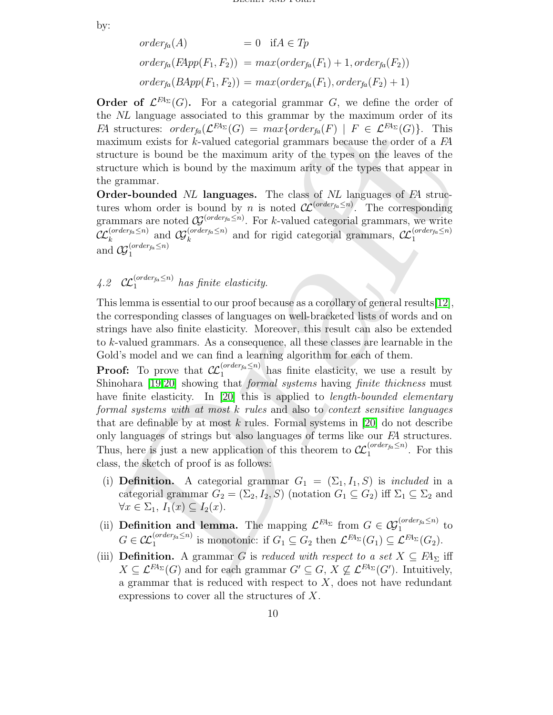by:

$$
order_{fa}(A) = 0 \quad \text{if } A \in Tp
$$
  

$$
order_{fa}(FApp(F_1, F_2)) = max(order_{fa}(F_1) + 1, order_{fa}(F_2))
$$
  

$$
order_{fa}(BApp(F_1, F_2)) = max(order_{fa}(F_1), order_{fa}(F_2) + 1)
$$

Order of  $\mathcal{L}^{H_{\Sigma}}(G)$ . For a categorial grammar G, we define the order of the NL language associated to this grammar by the maximum order of its FA structures:  $order_{fa}(\mathcal{L}^{FA_{\Sigma}}(G)) = max{order_{fa}(F) \mid F \in \mathcal{L}^{FA_{\Sigma}}(G)}$ . This maximum exists for  $k$ -valued categorial grammars because the order of a  $FA$ structure is bound be the maximum arity of the types on the leaves of the structure which is bound by the maximum arity of the types that appear in the grammar.

Order-bounded NL languages. The class of NL languages of FA structures whom order is bound by *n* is noted  $\mathcal{CL}^{(order_{fa} \leq n)}$ . The corresponding grammars are noted  $\mathcal{G}^{(order_{fa} \leq n)}$ . For k-valued categorial grammars, we write  $\mathcal{CL}_k^{(order_{fa}\leq n)}$  $\mathcal{G}^{(order_{fa} \leq n)}_{k}$  and  $\mathcal{G}^{(order_{fa} \leq n)}_{k}$  $\mathcal{L}^{(order_{fa} \leq n)}$  and for rigid categorial grammars,  $\mathcal{L}^{(order_{fa} \leq n)}$ 1 and  $\mathcal{G}_1^{(order_{fa} \leq n)}$ 1

4.2  $\mathcal{CL}_1^{(order_{fa} \leq n)}$  has finite elasticity.

This lemma is essential to our proof because as a corollary of general results[12], the corresponding classes of languages on well-bracketed lists of words and on strings have also finite elasticity. Moreover, this result can also be extended to k-valued grammars. As a consequence, all these classes are learnable in the Gold's model and we can find a learning algorithm for each of them.

structures:  $order_h(\mathcal{L}^{\text{BL}}(G)) = max\{order_h(F) \mid F \in \mathcal{L}^{\text{BL}}(G)\}$ . This<br>intumn exists for sk-valued actogorial grammars because the order of a FA<br>iduation for state with the beams of the maximum arity of the types on the leave **Proof:** To prove that  $\mathcal{CL}_1^{(order_{fa} \leq n)}$  has finite elasticity, we use a result by Shinohara [19,20] showing that *formal systems* having *finite thickness* must have finite elasticity. In [20] this is applied to *length-bounded elementary* formal systems with at most k rules and also to context sensitive languages that are definable by at most  $k$  rules. Formal systems in [20] do not describe only languages of strings but also languages of terms like our FA structures. Thus, here is just a new application of this theorem to  $\mathcal{L}^{(order_{fa}\leq n)}$  $1^{\left(\text{on }\text{der}_{\text{fa}}\leq n\right)}$ . For this class, the sketch of proof is as follows:

- (i) **Definition.** A categorial grammar  $G_1 = (\Sigma_1, I_1, S)$  is *included* in a categorial grammar  $G_2 = (\Sigma_2, I_2, S)$  (notation  $G_1 \subseteq G_2$ ) iff  $\Sigma_1 \subseteq \Sigma_2$  and  $\forall x \in \Sigma_1, I_1(x) \subseteq I_2(x).$
- (ii) **Definition and lemma.** The mapping  $\mathcal{L}^{FA_{\Sigma}}$  from  $G \in \mathcal{C}_{1}^{(order_{fa} \leq n)}$  $t_1^{(order_{fa} \geq n)}$  to  $G\in\mathcal{CL}^{(order_{fa}\leq n)}_{1}$  $i_1^{(order_{fa} \leq n)}$  is monotonic: if  $G_1 \subseteq G_2$  then  $\mathcal{L}^{FA_{\Sigma}}(G_1) \subseteq \mathcal{L}^{FA_{\Sigma}}(G_2)$ .
- (iii) Definition. A grammar G is reduced with respect to a set  $X \subseteq F\!A_{\Sigma}$  iff  $X \subseteq \mathcal{L}^{F\!A_{\Sigma}}(G)$  and for each grammar  $G' \subseteq G$ ,  $X \nsubseteq \mathcal{L}^{F\!A_{\Sigma}}(G')$ . Intuitively, a grammar that is reduced with respect to  $X$ , does not have redundant expressions to cover all the structures of X.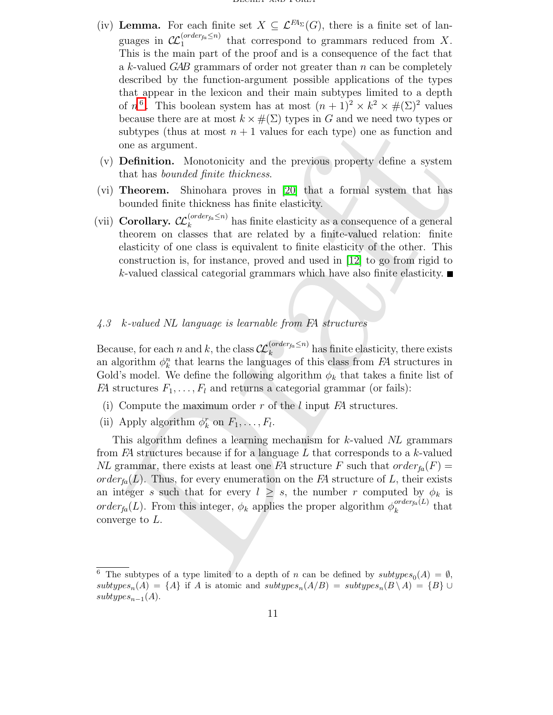- (iv) Lemma. For each finite set  $X \subseteq \mathcal{L}^{FA_{\Sigma}}(G)$ , there is a finite set of languages in  $\mathcal{CL}_1^{(order_{fa} \leq n)}$  $t_1^{(under_{flat}\leq n)}$  that correspond to grammars reduced from X. This is the main part of the proof and is a consequence of the fact that a k-valued GAB grammars of order not greater than  $n$  can be completely described by the function-argument possible applications of the types that appear in the lexicon and their main subtypes limited to a depth of  $n^6$  $n^6$ . This boolean system has at most  $(n+1)^2 \times k^2 \times \#(\Sigma)^2$  values because there are at most  $k \times \#(\Sigma)$  types in G and we need two types or subtypes (thus at most  $n + 1$  values for each type) one as function and one as argument.
- (v) Definition. Monotonicity and the previous property define a system that has bounded finite thickness.
- (vi) Theorem. Shinohara proves in [20] that a formal system that has bounded finite thickness has finite elasticity.
- (vii) Corollary.  $\mathcal{CL}_k^{(order_{fa} \leq n)}$  $\binom{Unter_{fa} \leq n}{k}$  has finite elasticity as a consequence of a general theorem on classes that are related by a finite-valued relation: finite elasticity of one class is equivalent to finite elasticity of the other. This construction is, for instance, proved and used in [12] to go from rigid to k-valued classical categorial grammars which have also finite elasticity.

#### 4.3 k-valued NL language is learnable from FA structures

Because, for each n and k, the class  $\mathcal{CL}_k^{(order_{fa}\leq n)}$  $\int_{k}^{(Order_{fa} \geq n)}$  has finite elasticity, there exists an algorithm  $\phi_k^n$  that learns the languages of this class from FA structures in Gold's model. We define the following algorithm  $\phi_k$  that takes a finite list of FA structures  $F_1, \ldots, F_l$  and returns a categorial grammar (or fails):

- (i) Compute the maximum order  $r$  of the l input  $FA$  structures.
- (ii) Apply algorithm  $\phi_k^r$  on  $F_1, \ldots, F_l$ .

subtrypes (thus [a](#page-12-2)t most  $n + 1$  values [f](#page-12-11)or each type) one as function and<br>subtrypes (thus at most  $n + 1$  values for each type) one as function and<br>one as argument. Submidual finite thickness.<br>Theorem. Submidual finite thic This algorithm defines a learning mechanism for k-valued NL grammars from  $FA$  structures because if for a language  $L$  that corresponds to a  $k$ -valued NL grammar, there exists at least one FA structure F such that  $order_{fa}(F) =$ order<sub>fa</sub> $(L)$ . Thus, for every enumeration on the FA structure of L, their exists an integer s such that for every  $l \geq s$ , the number r computed by  $\phi_k$  is order<sub>fa</sub>(L). From this integer,  $\phi_k$  applies the proper algorithm  $\phi_k^{order_{fa}(L)}$  $\int_{k}^{\theta (a)}$  that converge to L.

<span id="page-10-0"></span><sup>&</sup>lt;sup>6</sup> The subtypes of a type limited to a depth of n can be defined by  $subtypes_0(A) = \emptyset$ ,  $subtypes_n(A) = \{A\}$  if A is atomic and  $subtypes_n(A/B) = subtypes_n(B \setminus A) = \{B\} \cup$  $subtypes_{n-1}(A).$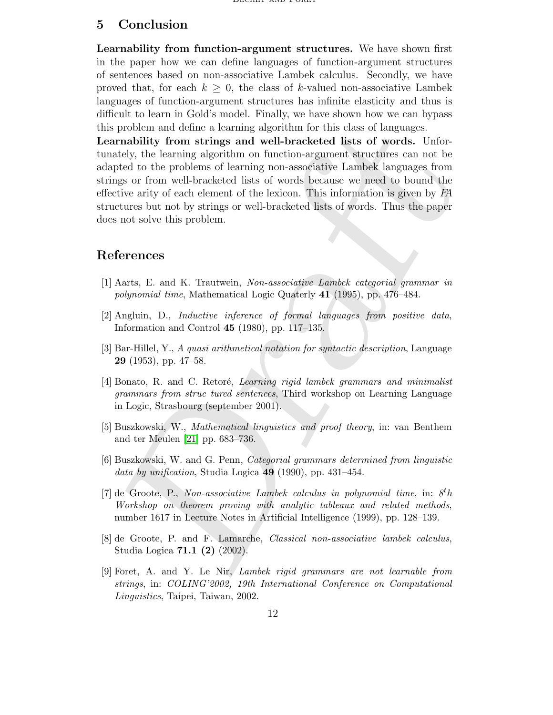# 5 Conclusion

Learnability from function-argument structures. We have shown first in the paper how we can define languages of function-argument structures of sentences based on non-associative Lambek calculus. Secondly, we have proved that, for each  $k \geq 0$ , the class of k-valued non-associative Lambek languages of function-argument structures has infinite elasticity and thus is difficult to learn in Gold's model. Finally, we have shown how we can bypass this problem and define a learning algorithm for this class of languages.

problem and define a learning algorithm for this class of languages.<br> **Ernahility from strings and well-bracketed lists of words.** Unformately, the learning algorithm on intertion-argument structures can not be<br>play to th Learnability from strings and well-bracketed lists of words. Unfortunately, the learning algorithm on function-argument structures can not be adapted to the problems of learning non-associative Lambek languages from strings or from well-bracketed lists of words because we need to bound the effective arity of each element of the lexicon. This information is given by FA structures but not by strings or well-bracketed lists of words. Thus the paper does not solve this problem.

# <span id="page-11-5"></span>References

- <span id="page-11-0"></span>[1] Aarts, E. and K. Trautwein, Non-associative Lambek categorial grammar in polynomial time, Mathematical Logic Quaterly 41 (1995), pp. 476–484.
- [2] Angluin, D., Inductive inference of formal languages from positive data, Information and Control 45 (1980), pp. 117–135.
- <span id="page-11-3"></span><span id="page-11-2"></span>[3] Bar-Hillel, Y., A quasi arithmetical notation for syntactic description, Language 29 (1953), pp. 47–58.
- [4] Bonato, R. and C. Retoré, Learning rigid lambek grammars and minimalist grammars from struc tured sentences, Third workshop on Learning Language in Logic, Strasbourg (september 2001).
- <span id="page-11-6"></span>[5] Buszkowski, W., Mathematical linguistics and proof theory, in: van Benthem and ter Meulen [21] pp. 683–736.
- <span id="page-11-7"></span><span id="page-11-1"></span>[6] Buszkowski, W. and G. Penn, Categorial grammars determined from linguistic data by unification, Studia Logica 49 (1990), pp. 431–454.
- [7] de Groote, P., Non-associative Lambek calculus in polynomial time, in:  $8<sup>t</sup>h$ Workshop on theorem proving with analytic tableaux and related methods, number 1617 in Lecture Notes in Artificial Intelligence (1999), pp. 128–139.
- <span id="page-11-8"></span>[8] de Groote, P. and F. Lamarche, Classical non-associative lambek calculus, Studia Logica 71.1 (2) (2002).
- <span id="page-11-4"></span>[9] Foret, A. and Y. Le Nir, Lambek rigid grammars are not learnable from strings, in: COLING'2002, 19th International Conference on Computational Linguistics, Taipei, Taiwan, 2002.